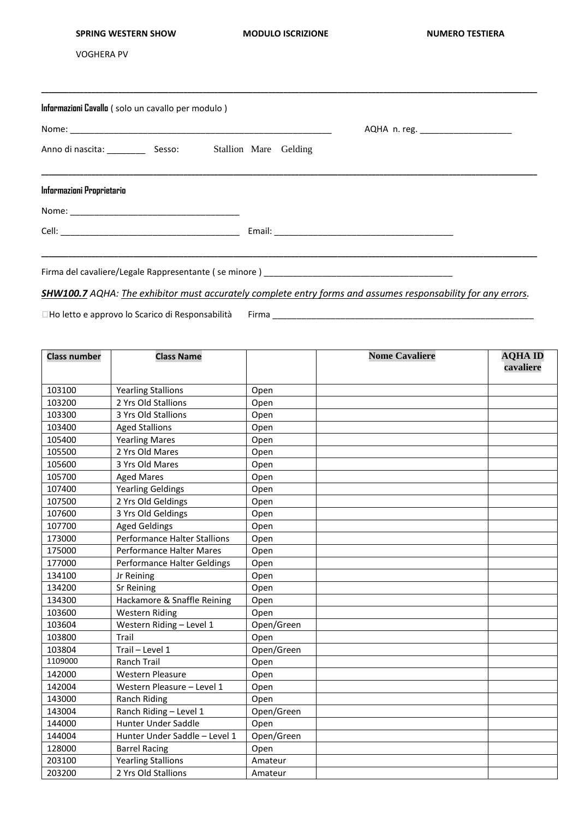## **SPRING WESTERN SHOW MODULO ISCRIZIONE NUMERO TESTIERA**

VOGHERA PV

| Informazioni Cavallo (solo un cavallo per modulo) |  |                                                               |  |
|---------------------------------------------------|--|---------------------------------------------------------------|--|
|                                                   |  | Anno di nascita: _______________ Sesso: Stallion Mare Gelding |  |
| Informazioni Proprietario                         |  |                                                               |  |
|                                                   |  |                                                               |  |
|                                                   |  |                                                               |  |

*SHW100.7 AQHA: The exhibitor must accurately complete entry forms and assumes responsability for any errors.* 

□Ho letto e approvo lo Scarico di Responsabilità Firma \_\_\_\_\_\_\_\_\_\_\_\_\_\_\_\_\_\_\_\_\_\_\_\_\_

| <b>Class number</b> | <b>Class Name</b>                   |            | <b>Nome Cavaliere</b> | <b>AQHAID</b> |
|---------------------|-------------------------------------|------------|-----------------------|---------------|
|                     |                                     |            |                       | cavaliere     |
|                     |                                     |            |                       |               |
| 103100              | <b>Yearling Stallions</b>           | Open       |                       |               |
| 103200              | 2 Yrs Old Stallions                 | Open       |                       |               |
| 103300              | 3 Yrs Old Stallions                 | Open       |                       |               |
| 103400              | <b>Aged Stallions</b>               | Open       |                       |               |
| 105400              | <b>Yearling Mares</b>               | Open       |                       |               |
| 105500              | 2 Yrs Old Mares                     | Open       |                       |               |
| 105600              | 3 Yrs Old Mares                     | Open       |                       |               |
| 105700              | <b>Aged Mares</b>                   | Open       |                       |               |
| 107400              | <b>Yearling Geldings</b>            | Open       |                       |               |
| 107500              | 2 Yrs Old Geldings                  | Open       |                       |               |
| 107600              | 3 Yrs Old Geldings                  | Open       |                       |               |
| 107700              | <b>Aged Geldings</b>                | Open       |                       |               |
| 173000              | <b>Performance Halter Stallions</b> | Open       |                       |               |
| 175000              | <b>Performance Halter Mares</b>     | Open       |                       |               |
| 177000              | Performance Halter Geldings         | Open       |                       |               |
| 134100              | Jr Reining                          | Open       |                       |               |
| 134200              | <b>Sr Reining</b>                   | Open       |                       |               |
| 134300              | Hackamore & Snaffle Reining         | Open       |                       |               |
| 103600              | <b>Western Riding</b>               | Open       |                       |               |
| 103604              | Western Riding - Level 1            | Open/Green |                       |               |
| 103800              | Trail                               | Open       |                       |               |
| 103804              | Trail - Level 1                     | Open/Green |                       |               |
| 1109000             | <b>Ranch Trail</b>                  | Open       |                       |               |
| 142000              | <b>Western Pleasure</b>             | Open       |                       |               |
| 142004              | Western Pleasure - Level 1          | Open       |                       |               |
| 143000              | Ranch Riding                        | Open       |                       |               |
| 143004              | Ranch Riding - Level 1              | Open/Green |                       |               |
| 144000              | <b>Hunter Under Saddle</b>          | Open       |                       |               |
| 144004              | Hunter Under Saddle - Level 1       | Open/Green |                       |               |
| 128000              | <b>Barrel Racing</b>                | Open       |                       |               |
| 203100              | <b>Yearling Stallions</b>           | Amateur    |                       |               |
| 203200              | 2 Yrs Old Stallions                 | Amateur    |                       |               |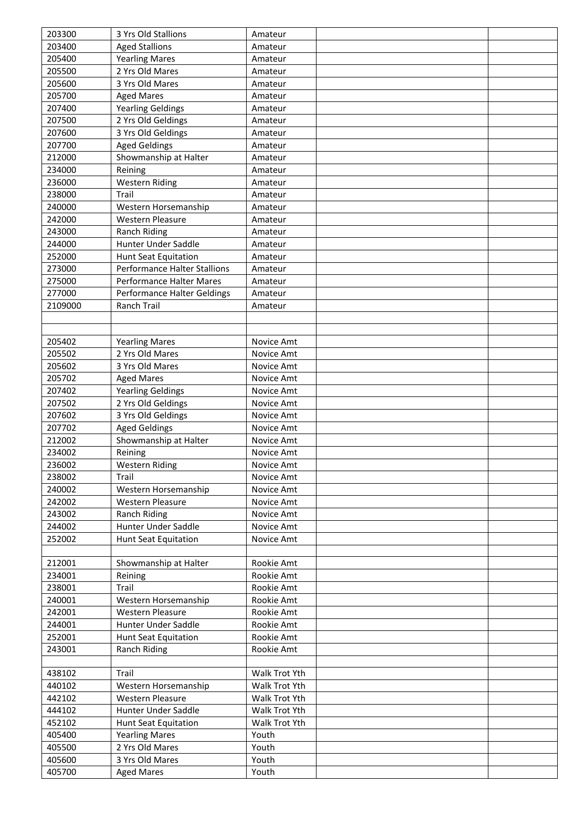| 203300  | 3 Yrs Old Stallions                             | Amateur                        |  |
|---------|-------------------------------------------------|--------------------------------|--|
| 203400  | <b>Aged Stallions</b>                           | Amateur                        |  |
| 205400  | <b>Yearling Mares</b>                           | Amateur                        |  |
| 205500  | 2 Yrs Old Mares                                 | Amateur                        |  |
| 205600  | 3 Yrs Old Mares                                 | Amateur                        |  |
| 205700  | <b>Aged Mares</b>                               | Amateur                        |  |
| 207400  | <b>Yearling Geldings</b>                        | Amateur                        |  |
| 207500  | 2 Yrs Old Geldings                              | Amateur                        |  |
| 207600  | 3 Yrs Old Geldings                              | Amateur                        |  |
| 207700  | <b>Aged Geldings</b>                            | Amateur                        |  |
| 212000  | Showmanship at Halter                           | Amateur                        |  |
| 234000  | Reining                                         | Amateur                        |  |
| 236000  | <b>Western Riding</b>                           | Amateur                        |  |
| 238000  | Trail                                           | Amateur                        |  |
| 240000  | Western Horsemanship                            | Amateur                        |  |
| 242000  | <b>Western Pleasure</b>                         | Amateur                        |  |
| 243000  | Ranch Riding                                    | Amateur                        |  |
| 244000  | Hunter Under Saddle                             | Amateur                        |  |
| 252000  | <b>Hunt Seat Equitation</b>                     | Amateur                        |  |
| 273000  | <b>Performance Halter Stallions</b>             | Amateur                        |  |
| 275000  | Performance Halter Mares                        | Amateur                        |  |
| 277000  | Performance Halter Geldings                     | Amateur                        |  |
| 2109000 | <b>Ranch Trail</b>                              | Amateur                        |  |
|         |                                                 |                                |  |
|         |                                                 |                                |  |
| 205402  | <b>Yearling Mares</b>                           | Novice Amt                     |  |
| 205502  | 2 Yrs Old Mares                                 | Novice Amt                     |  |
| 205602  | 3 Yrs Old Mares                                 | Novice Amt                     |  |
| 205702  | <b>Aged Mares</b>                               | Novice Amt                     |  |
| 207402  | <b>Yearling Geldings</b>                        | Novice Amt                     |  |
| 207502  | 2 Yrs Old Geldings                              | Novice Amt                     |  |
| 207602  | 3 Yrs Old Geldings                              | Novice Amt                     |  |
| 207702  | <b>Aged Geldings</b>                            | Novice Amt                     |  |
| 212002  | Showmanship at Halter                           | Novice Amt                     |  |
| 234002  | Reining                                         | Novice Amt                     |  |
| 236002  | <b>Western Riding</b>                           | Novice Amt                     |  |
| 238002  | Trail                                           | Novice Amt                     |  |
| 240002  | Western Horsemanship                            | Novice Amt                     |  |
| 242002  | <b>Western Pleasure</b>                         | Novice Amt                     |  |
| 243002  | <b>Ranch Riding</b>                             | Novice Amt                     |  |
| 244002  | Hunter Under Saddle                             | Novice Amt                     |  |
| 252002  | <b>Hunt Seat Equitation</b>                     | Novice Amt                     |  |
|         |                                                 |                                |  |
| 212001  | Showmanship at Halter                           | Rookie Amt                     |  |
| 234001  |                                                 | Rookie Amt                     |  |
| 238001  | Reining<br>Trail                                | Rookie Amt                     |  |
| 240001  | Western Horsemanship                            | Rookie Amt                     |  |
| 242001  | <b>Western Pleasure</b>                         | Rookie Amt                     |  |
| 244001  | Hunter Under Saddle                             |                                |  |
| 252001  |                                                 | Rookie Amt<br>Rookie Amt       |  |
| 243001  | <b>Hunt Seat Equitation</b>                     | Rookie Amt                     |  |
|         | Ranch Riding                                    |                                |  |
| 438102  | Trail                                           | Walk Trot Yth                  |  |
| 440102  |                                                 | Walk Trot Yth                  |  |
| 442102  | Western Horsemanship<br><b>Western Pleasure</b> | Walk Trot Yth                  |  |
|         |                                                 |                                |  |
| 444102  | Hunter Under Saddle                             | Walk Trot Yth<br>Walk Trot Yth |  |
| 452102  | <b>Hunt Seat Equitation</b>                     |                                |  |
| 405400  | <b>Yearling Mares</b>                           | Youth                          |  |
| 405500  | 2 Yrs Old Mares                                 | Youth                          |  |
| 405600  | 3 Yrs Old Mares                                 | Youth                          |  |
| 405700  | <b>Aged Mares</b>                               | Youth                          |  |